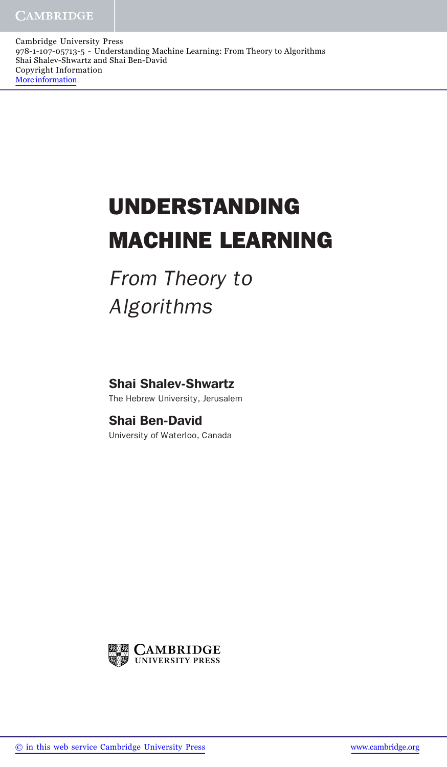Cambridge University Press 978-1-107-05713-5 - Understanding Machine Learning: From Theory to Algorithms Shai Shalev-Shwartz and Shai Ben-David Copyright Information More information

## **UNDERSTANDING MACHINE LEARNING**

From Theory to Algorithms

Shai Shalev-Shwartz

The Hebrew University, Jerusalem

## Shai Ben-David

University of Waterloo, Canada